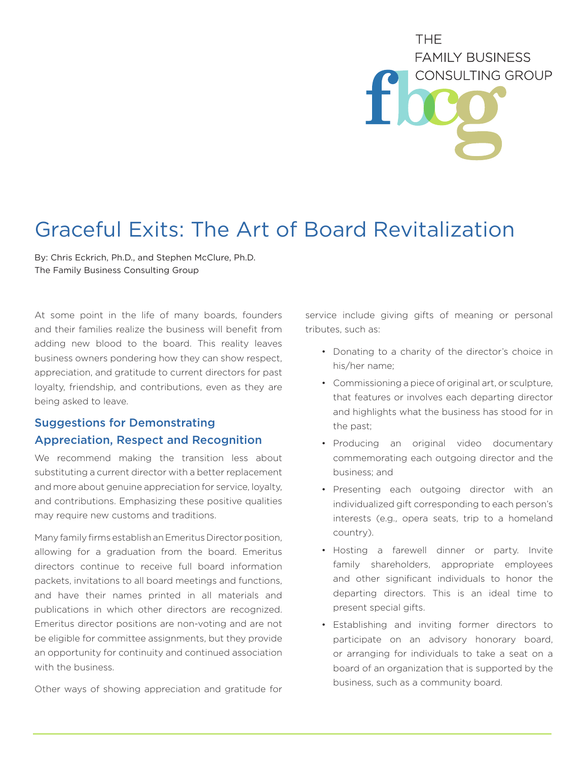# THF. **FAMILY BUSINESS** CONSULTING GROUP

# Graceful Exits: The Art of Board Revitalization

By: Chris Eckrich, Ph.D., and Stephen McClure, Ph.D. The Family Business Consulting Group

At some point in the life of many boards, founders and their families realize the business will benefit from adding new blood to the board. This reality leaves business owners pondering how they can show respect, appreciation, and gratitude to current directors for past loyalty, friendship, and contributions, even as they are being asked to leave.

## Suggestions for Demonstrating Appreciation, Respect and Recognition

We recommend making the transition less about substituting a current director with a better replacement and more about genuine appreciation for service, loyalty, and contributions. Emphasizing these positive qualities may require new customs and traditions.

Many family firms establish an Emeritus Director position, allowing for a graduation from the board. Emeritus directors continue to receive full board information packets, invitations to all board meetings and functions, and have their names printed in all materials and publications in which other directors are recognized. Emeritus director positions are non-voting and are not be eligible for committee assignments, but they provide an opportunity for continuity and continued association with the business.

Other ways of showing appreciation and gratitude for

service include giving gifts of meaning or personal tributes, such as:

- Donating to a charity of the director's choice in his/her name;
- Commissioning a piece of original art, or sculpture, that features or involves each departing director and highlights what the business has stood for in the past;
- Producing an original video documentary commemorating each outgoing director and the business; and
- Presenting each outgoing director with an individualized gift corresponding to each person's interests (e.g., opera seats, trip to a homeland country).
- Hosting a farewell dinner or party. Invite family shareholders, appropriate employees and other significant individuals to honor the departing directors. This is an ideal time to present special gifts.
- Establishing and inviting former directors to participate on an advisory honorary board, or arranging for individuals to take a seat on a board of an organization that is supported by the business, such as a community board.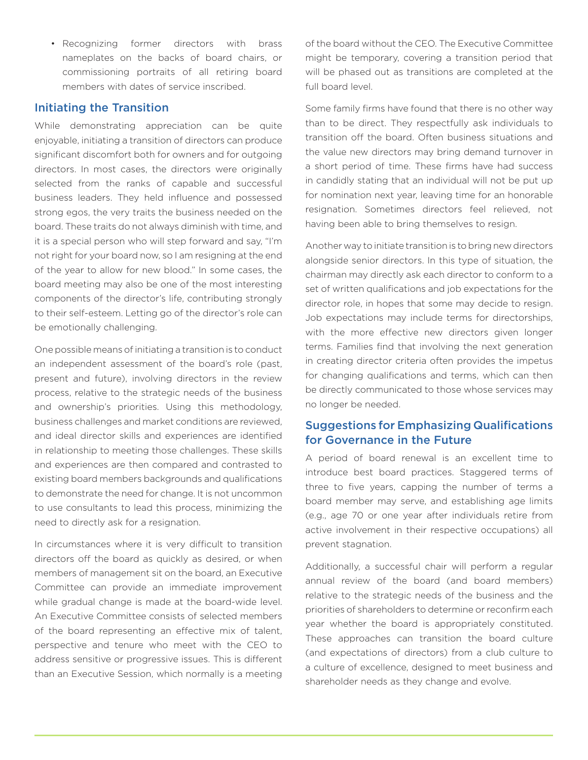• Recognizing former directors with brass nameplates on the backs of board chairs, or commissioning portraits of all retiring board members with dates of service inscribed.

#### Initiating the Transition

While demonstrating appreciation can be quite enjoyable, initiating a transition of directors can produce significant discomfort both for owners and for outgoing directors. In most cases, the directors were originally selected from the ranks of capable and successful business leaders. They held influence and possessed strong egos, the very traits the business needed on the board. These traits do not always diminish with time, and it is a special person who will step forward and say, "I'm not right for your board now, so I am resigning at the end of the year to allow for new blood." In some cases, the board meeting may also be one of the most interesting components of the director's life, contributing strongly to their self-esteem. Letting go of the director's role can be emotionally challenging.

One possible means of initiating a transition is to conduct an independent assessment of the board's role (past, present and future), involving directors in the review process, relative to the strategic needs of the business and ownership's priorities. Using this methodology, business challenges and market conditions are reviewed, and ideal director skills and experiences are identified in relationship to meeting those challenges. These skills and experiences are then compared and contrasted to existing board members backgrounds and qualifications to demonstrate the need for change. It is not uncommon to use consultants to lead this process, minimizing the need to directly ask for a resignation.

In circumstances where it is very difficult to transition directors off the board as quickly as desired, or when members of management sit on the board, an Executive Committee can provide an immediate improvement while gradual change is made at the board-wide level. An Executive Committee consists of selected members of the board representing an effective mix of talent, perspective and tenure who meet with the CEO to address sensitive or progressive issues. This is different than an Executive Session, which normally is a meeting of the board without the CEO. The Executive Committee might be temporary, covering a transition period that will be phased out as transitions are completed at the full board level.

Some family firms have found that there is no other way than to be direct. They respectfully ask individuals to transition off the board. Often business situations and the value new directors may bring demand turnover in a short period of time. These firms have had success in candidly stating that an individual will not be put up for nomination next year, leaving time for an honorable resignation. Sometimes directors feel relieved, not having been able to bring themselves to resign.

Another way to initiate transition is to bring new directors alongside senior directors. In this type of situation, the chairman may directly ask each director to conform to a set of written qualifications and job expectations for the director role, in hopes that some may decide to resign. Job expectations may include terms for directorships, with the more effective new directors given longer terms. Families find that involving the next generation in creating director criteria often provides the impetus for changing qualifications and terms, which can then be directly communicated to those whose services may no longer be needed.

### Suggestions for Emphasizing Qualifications for Governance in the Future

A period of board renewal is an excellent time to introduce best board practices. Staggered terms of three to five years, capping the number of terms a board member may serve, and establishing age limits (e.g., age 70 or one year after individuals retire from active involvement in their respective occupations) all prevent stagnation.

Additionally, a successful chair will perform a regular annual review of the board (and board members) relative to the strategic needs of the business and the priorities of shareholders to determine or reconfirm each year whether the board is appropriately constituted. These approaches can transition the board culture (and expectations of directors) from a club culture to a culture of excellence, designed to meet business and shareholder needs as they change and evolve.